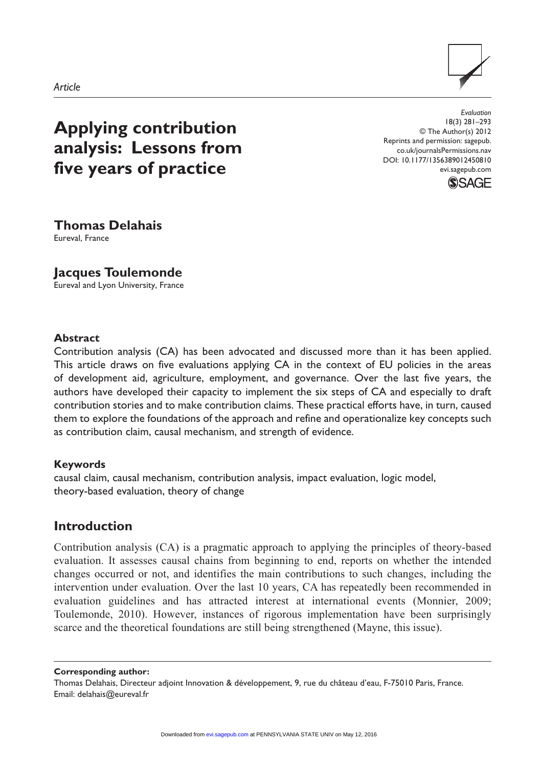# **Applying contribution analysis: Lessons from five years of practice**

*Evaluation* 18(3) 281–293 © The Author(s) 2012 Reprints and permission: sagepub. co.uk/journalsPermissions.nav DOI: 10.1177/1356389012450810 evi.sagepub.com



**Thomas Delahais**

Eureval, France

# **Jacques Toulemonde**

Eureval and Lyon University, France

## **Abstract**

Contribution analysis (CA) has been advocated and discussed more than it has been applied. This article draws on five evaluations applying CA in the context of EU policies in the areas of development aid, agriculture, employment, and governance. Over the last five years, the authors have developed their capacity to implement the six steps of CA and especially to draft contribution stories and to make contribution claims. These practical efforts have, in turn, caused them to explore the foundations of the approach and refine and operationalize key concepts such as contribution claim, causal mechanism, and strength of evidence.

# **Keywords**

causal claim, causal mechanism, contribution analysis, impact evaluation, logic model, theory-based evaluation, theory of change

# **Introduction**

Contribution analysis (CA) is a pragmatic approach to applying the principles of theory-based evaluation. It assesses causal chains from beginning to end, reports on whether the intended changes occurred or not, and identifies the main contributions to such changes, including the intervention under evaluation. Over the last 10 years, CA has repeatedly been recommended in evaluation guidelines and has attracted interest at international events (Monnier, 2009; Toulemonde, 2010). However, instances of rigorous implementation have been surprisingly scarce and the theoretical foundations are still being strengthened (Mayne, this issue).

**Corresponding author:**

Thomas Delahais, Directeur adjoint Innovation & développement, 9, rue du château d'eau, F-75010 Paris, France. Email: delahais@eureval.fr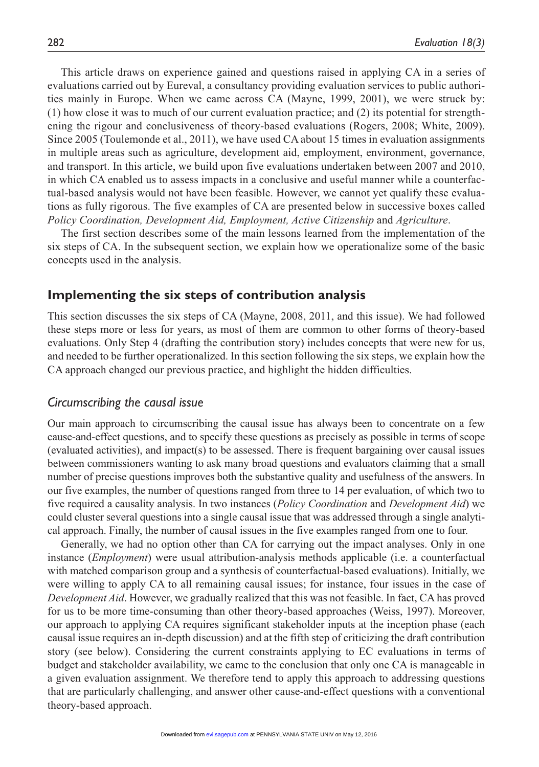This article draws on experience gained and questions raised in applying CA in a series of evaluations carried out by Eureval, a consultancy providing evaluation services to public authorities mainly in Europe. When we came across CA (Mayne, 1999, 2001), we were struck by: (1) how close it was to much of our current evaluation practice; and (2) its potential for strengthening the rigour and conclusiveness of theory-based evaluations (Rogers, 2008; White, 2009). Since 2005 (Toulemonde et al., 2011), we have used CA about 15 times in evaluation assignments in multiple areas such as agriculture, development aid, employment, environment, governance, and transport. In this article, we build upon five evaluations undertaken between 2007 and 2010, in which CA enabled us to assess impacts in a conclusive and useful manner while a counterfactual-based analysis would not have been feasible. However, we cannot yet qualify these evaluations as fully rigorous. The five examples of CA are presented below in successive boxes called *Policy Coordination, Development Aid, Employment, Active Citizenship* and *Agriculture*.

The first section describes some of the main lessons learned from the implementation of the six steps of CA. In the subsequent section, we explain how we operationalize some of the basic concepts used in the analysis.

# **Implementing the six steps of contribution analysis**

This section discusses the six steps of CA (Mayne, 2008, 2011, and this issue). We had followed these steps more or less for years, as most of them are common to other forms of theory-based evaluations. Only Step 4 (drafting the contribution story) includes concepts that were new for us, and needed to be further operationalized. In this section following the six steps, we explain how the CA approach changed our previous practice, and highlight the hidden difficulties.

#### *Circumscribing the causal issue*

Our main approach to circumscribing the causal issue has always been to concentrate on a few cause-and-effect questions, and to specify these questions as precisely as possible in terms of scope (evaluated activities), and impact(s) to be assessed. There is frequent bargaining over causal issues between commissioners wanting to ask many broad questions and evaluators claiming that a small number of precise questions improves both the substantive quality and usefulness of the answers. In our five examples, the number of questions ranged from three to 14 per evaluation, of which two to five required a causality analysis. In two instances (*Policy Coordination* and *Development Aid*) we could cluster several questions into a single causal issue that was addressed through a single analytical approach. Finally, the number of causal issues in the five examples ranged from one to four.

Generally, we had no option other than CA for carrying out the impact analyses. Only in one instance (*Employment*) were usual attribution-analysis methods applicable (i.e. a counterfactual with matched comparison group and a synthesis of counterfactual-based evaluations). Initially, we were willing to apply CA to all remaining causal issues; for instance, four issues in the case of *Development Aid*. However, we gradually realized that this was not feasible. In fact, CA has proved for us to be more time-consuming than other theory-based approaches (Weiss, 1997). Moreover, our approach to applying CA requires significant stakeholder inputs at the inception phase (each causal issue requires an in-depth discussion) and at the fifth step of criticizing the draft contribution story (see below). Considering the current constraints applying to EC evaluations in terms of budget and stakeholder availability, we came to the conclusion that only one CA is manageable in a given evaluation assignment. We therefore tend to apply this approach to addressing questions that are particularly challenging, and answer other cause-and-effect questions with a conventional theory-based approach.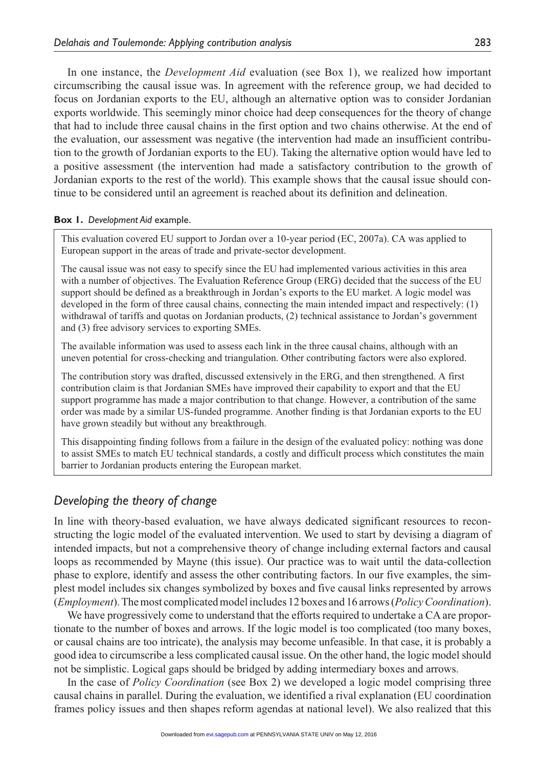In one instance, the *Development Aid* evaluation (see Box 1), we realized how important circumscribing the causal issue was. In agreement with the reference group, we had decided to focus on Jordanian exports to the EU, although an alternative option was to consider Jordanian exports worldwide. This seemingly minor choice had deep consequences for the theory of change that had to include three causal chains in the first option and two chains otherwise. At the end of the evaluation, our assessment was negative (the intervention had made an insufficient contribution to the growth of Jordanian exports to the EU). Taking the alternative option would have led to a positive assessment (the intervention had made a satisfactory contribution to the growth of Jordanian exports to the rest of the world). This example shows that the causal issue should continue to be considered until an agreement is reached about its definition and delineation.

#### **Box 1.** *Development Aid* example.

This evaluation covered EU support to Jordan over a 10-year period (EC, 2007a). CA was applied to European support in the areas of trade and private-sector development.

The causal issue was not easy to specify since the EU had implemented various activities in this area with a number of objectives. The Evaluation Reference Group (ERG) decided that the success of the EU support should be defined as a breakthrough in Jordan's exports to the EU market. A logic model was developed in the form of three causal chains, connecting the main intended impact and respectively: (1) withdrawal of tariffs and quotas on Jordanian products, (2) technical assistance to Jordan's government and (3) free advisory services to exporting SMEs.

The available information was used to assess each link in the three causal chains, although with an uneven potential for cross-checking and triangulation. Other contributing factors were also explored.

The contribution story was drafted, discussed extensively in the ERG, and then strengthened. A first contribution claim is that Jordanian SMEs have improved their capability to export and that the EU support programme has made a major contribution to that change. However, a contribution of the same order was made by a similar US-funded programme. Another finding is that Jordanian exports to the EU have grown steadily but without any breakthrough.

This disappointing finding follows from a failure in the design of the evaluated policy: nothing was done to assist SMEs to match EU technical standards, a costly and difficult process which constitutes the main barrier to Jordanian products entering the European market.

# *Developing the theory of change*

In line with theory-based evaluation, we have always dedicated significant resources to reconstructing the logic model of the evaluated intervention. We used to start by devising a diagram of intended impacts, but not a comprehensive theory of change including external factors and causal loops as recommended by Mayne (this issue). Our practice was to wait until the data-collection phase to explore, identify and assess the other contributing factors. In our five examples, the simplest model includes six changes symbolized by boxes and five causal links represented by arrows (*Employment*). The most complicated model includes 12 boxes and 16 arrows (*Policy Coordination*).

We have progressively come to understand that the efforts required to undertake a CA are proportionate to the number of boxes and arrows. If the logic model is too complicated (too many boxes, or causal chains are too intricate), the analysis may become unfeasible. In that case, it is probably a good idea to circumscribe a less complicated causal issue. On the other hand, the logic model should not be simplistic. Logical gaps should be bridged by adding intermediary boxes and arrows.

In the case of *Policy Coordination* (see Box 2) we developed a logic model comprising three causal chains in parallel. During the evaluation, we identified a rival explanation (EU coordination frames policy issues and then shapes reform agendas at national level). We also realized that this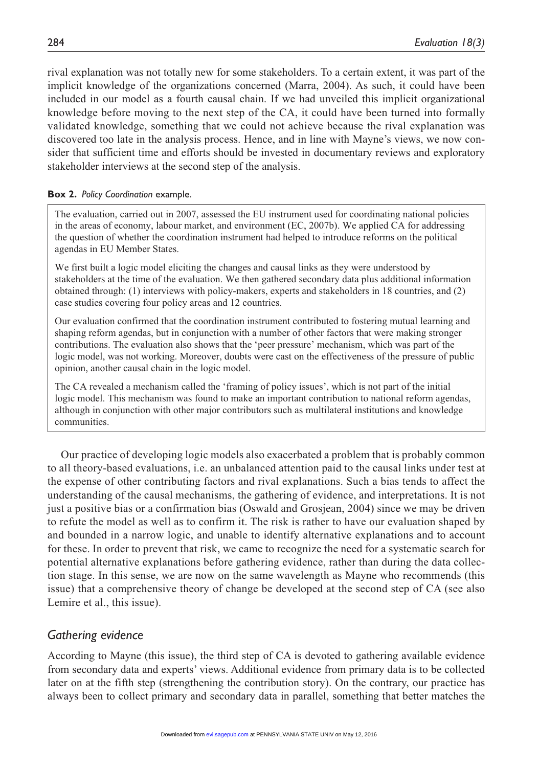rival explanation was not totally new for some stakeholders. To a certain extent, it was part of the implicit knowledge of the organizations concerned (Marra, 2004). As such, it could have been included in our model as a fourth causal chain. If we had unveiled this implicit organizational knowledge before moving to the next step of the CA, it could have been turned into formally validated knowledge, something that we could not achieve because the rival explanation was discovered too late in the analysis process. Hence, and in line with Mayne's views, we now consider that sufficient time and efforts should be invested in documentary reviews and exploratory stakeholder interviews at the second step of the analysis.

#### **Box 2.** *Policy Coordination* example.

The evaluation, carried out in 2007, assessed the EU instrument used for coordinating national policies in the areas of economy, labour market, and environment (EC, 2007b). We applied CA for addressing the question of whether the coordination instrument had helped to introduce reforms on the political agendas in EU Member States.

We first built a logic model eliciting the changes and causal links as they were understood by stakeholders at the time of the evaluation. We then gathered secondary data plus additional information obtained through: (1) interviews with policy-makers, experts and stakeholders in 18 countries, and (2) case studies covering four policy areas and 12 countries.

Our evaluation confirmed that the coordination instrument contributed to fostering mutual learning and shaping reform agendas, but in conjunction with a number of other factors that were making stronger contributions. The evaluation also shows that the 'peer pressure' mechanism, which was part of the logic model, was not working. Moreover, doubts were cast on the effectiveness of the pressure of public opinion, another causal chain in the logic model.

The CA revealed a mechanism called the 'framing of policy issues', which is not part of the initial logic model. This mechanism was found to make an important contribution to national reform agendas, although in conjunction with other major contributors such as multilateral institutions and knowledge communities.

Our practice of developing logic models also exacerbated a problem that is probably common to all theory-based evaluations, i.e. an unbalanced attention paid to the causal links under test at the expense of other contributing factors and rival explanations. Such a bias tends to affect the understanding of the causal mechanisms, the gathering of evidence, and interpretations. It is not just a positive bias or a confirmation bias (Oswald and Grosjean, 2004) since we may be driven to refute the model as well as to confirm it. The risk is rather to have our evaluation shaped by and bounded in a narrow logic, and unable to identify alternative explanations and to account for these. In order to prevent that risk, we came to recognize the need for a systematic search for potential alternative explanations before gathering evidence, rather than during the data collection stage. In this sense, we are now on the same wavelength as Mayne who recommends (this issue) that a comprehensive theory of change be developed at the second step of CA (see also Lemire et al., this issue).

# *Gathering evidence*

According to Mayne (this issue), the third step of CA is devoted to gathering available evidence from secondary data and experts' views. Additional evidence from primary data is to be collected later on at the fifth step (strengthening the contribution story). On the contrary, our practice has always been to collect primary and secondary data in parallel, something that better matches the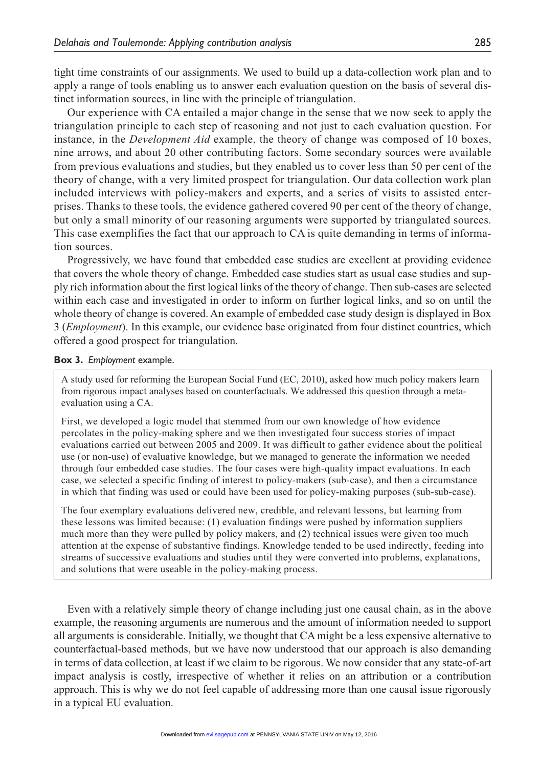tight time constraints of our assignments. We used to build up a data-collection work plan and to apply a range of tools enabling us to answer each evaluation question on the basis of several distinct information sources, in line with the principle of triangulation.

Our experience with CA entailed a major change in the sense that we now seek to apply the triangulation principle to each step of reasoning and not just to each evaluation question. For instance, in the *Development Aid* example, the theory of change was composed of 10 boxes, nine arrows, and about 20 other contributing factors. Some secondary sources were available from previous evaluations and studies, but they enabled us to cover less than 50 per cent of the theory of change, with a very limited prospect for triangulation. Our data collection work plan included interviews with policy-makers and experts, and a series of visits to assisted enterprises. Thanks to these tools, the evidence gathered covered 90 per cent of the theory of change, but only a small minority of our reasoning arguments were supported by triangulated sources. This case exemplifies the fact that our approach to CA is quite demanding in terms of information sources.

Progressively, we have found that embedded case studies are excellent at providing evidence that covers the whole theory of change. Embedded case studies start as usual case studies and supply rich information about the first logical links of the theory of change. Then sub-cases are selected within each case and investigated in order to inform on further logical links, and so on until the whole theory of change is covered. An example of embedded case study design is displayed in Box 3 (*Employment*). In this example, our evidence base originated from four distinct countries, which offered a good prospect for triangulation.

#### **Box 3.** *Employment* example.

A study used for reforming the European Social Fund (EC, 2010), asked how much policy makers learn from rigorous impact analyses based on counterfactuals. We addressed this question through a metaevaluation using a CA.

First, we developed a logic model that stemmed from our own knowledge of how evidence percolates in the policy-making sphere and we then investigated four success stories of impact evaluations carried out between 2005 and 2009. It was difficult to gather evidence about the political use (or non-use) of evaluative knowledge, but we managed to generate the information we needed through four embedded case studies. The four cases were high-quality impact evaluations. In each case, we selected a specific finding of interest to policy-makers (sub-case), and then a circumstance in which that finding was used or could have been used for policy-making purposes (sub-sub-case).

The four exemplary evaluations delivered new, credible, and relevant lessons, but learning from these lessons was limited because: (1) evaluation findings were pushed by information suppliers much more than they were pulled by policy makers, and (2) technical issues were given too much attention at the expense of substantive findings. Knowledge tended to be used indirectly, feeding into streams of successive evaluations and studies until they were converted into problems, explanations, and solutions that were useable in the policy-making process.

Even with a relatively simple theory of change including just one causal chain, as in the above example, the reasoning arguments are numerous and the amount of information needed to support all arguments is considerable. Initially, we thought that CA might be a less expensive alternative to counterfactual-based methods, but we have now understood that our approach is also demanding in terms of data collection, at least if we claim to be rigorous. We now consider that any state-of-art impact analysis is costly, irrespective of whether it relies on an attribution or a contribution approach. This is why we do not feel capable of addressing more than one causal issue rigorously in a typical EU evaluation.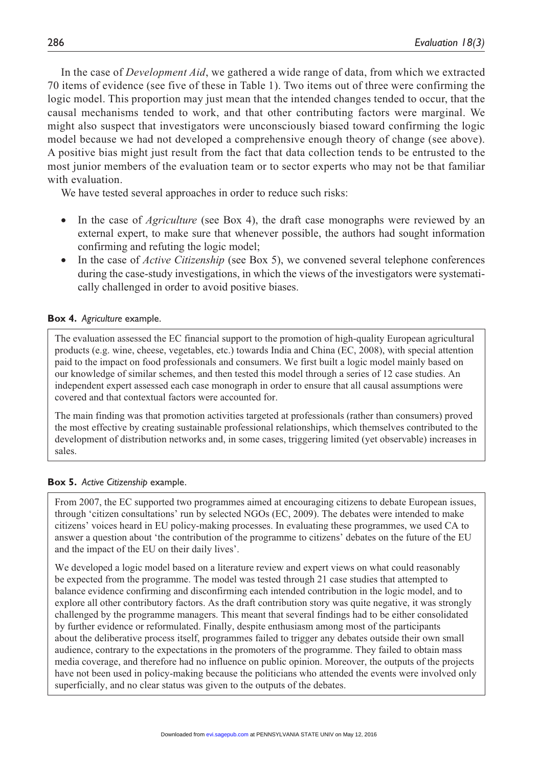In the case of *Development Aid*, we gathered a wide range of data, from which we extracted 70 items of evidence (see five of these in Table 1). Two items out of three were confirming the logic model. This proportion may just mean that the intended changes tended to occur, that the causal mechanisms tended to work, and that other contributing factors were marginal. We might also suspect that investigators were unconsciously biased toward confirming the logic model because we had not developed a comprehensive enough theory of change (see above). A positive bias might just result from the fact that data collection tends to be entrusted to the most junior members of the evaluation team or to sector experts who may not be that familiar with evaluation.

We have tested several approaches in order to reduce such risks:

- In the case of *Agriculture* (see Box 4), the draft case monographs were reviewed by an external expert, to make sure that whenever possible, the authors had sought information confirming and refuting the logic model;
- In the case of *Active Citizenship* (see Box 5), we convened several telephone conferences during the case-study investigations, in which the views of the investigators were systematically challenged in order to avoid positive biases.

#### **Box 4.** *Agriculture* example.

The evaluation assessed the EC financial support to the promotion of high-quality European agricultural products (e.g. wine, cheese, vegetables, etc.) towards India and China (EC, 2008), with special attention paid to the impact on food professionals and consumers. We first built a logic model mainly based on our knowledge of similar schemes, and then tested this model through a series of 12 case studies. An independent expert assessed each case monograph in order to ensure that all causal assumptions were covered and that contextual factors were accounted for.

The main finding was that promotion activities targeted at professionals (rather than consumers) proved the most effective by creating sustainable professional relationships, which themselves contributed to the development of distribution networks and, in some cases, triggering limited (yet observable) increases in sales.

#### **Box 5.** *Active Citizenship* example.

From 2007, the EC supported two programmes aimed at encouraging citizens to debate European issues, through 'citizen consultations' run by selected NGOs (EC, 2009). The debates were intended to make citizens' voices heard in EU policy-making processes. In evaluating these programmes, we used CA to answer a question about 'the contribution of the programme to citizens' debates on the future of the EU and the impact of the EU on their daily lives'.

We developed a logic model based on a literature review and expert views on what could reasonably be expected from the programme. The model was tested through 21 case studies that attempted to balance evidence confirming and disconfirming each intended contribution in the logic model, and to explore all other contributory factors. As the draft contribution story was quite negative, it was strongly challenged by the programme managers. This meant that several findings had to be either consolidated by further evidence or reformulated. Finally, despite enthusiasm among most of the participants about the deliberative process itself, programmes failed to trigger any debates outside their own small audience, contrary to the expectations in the promoters of the programme. They failed to obtain mass media coverage, and therefore had no influence on public opinion. Moreover, the outputs of the projects have not been used in policy-making because the politicians who attended the events were involved only superficially, and no clear status was given to the outputs of the debates.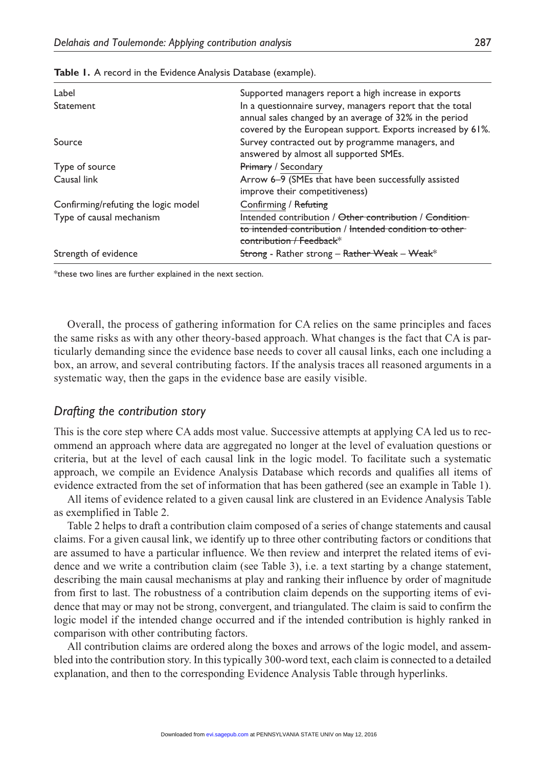| Supported managers report a high increase in exports                                                                                                                               |  |  |  |
|------------------------------------------------------------------------------------------------------------------------------------------------------------------------------------|--|--|--|
| In a questionnaire survey, managers report that the total<br>annual sales changed by an average of 32% in the period<br>covered by the European support. Exports increased by 61%. |  |  |  |
| Survey contracted out by programme managers, and<br>answered by almost all supported SMEs.                                                                                         |  |  |  |
| Primary / Secondary                                                                                                                                                                |  |  |  |
| Arrow 6–9 (SMEs that have been successfully assisted<br>improve their competitiveness)                                                                                             |  |  |  |
| Confirming / Refuting                                                                                                                                                              |  |  |  |
| Intended contribution / Other contribution / Condition-<br>to intended contribution / Intended condition to other-<br>contribution / Feedback*                                     |  |  |  |
| <b>Strong</b> - Rather strong – Rather Weak – Weak*                                                                                                                                |  |  |  |
|                                                                                                                                                                                    |  |  |  |

|  |  |  |  | Table 1. A record in the Evidence Analysis Database (example). |  |  |  |  |
|--|--|--|--|----------------------------------------------------------------|--|--|--|--|
|--|--|--|--|----------------------------------------------------------------|--|--|--|--|

\*these two lines are further explained in the next section.

Overall, the process of gathering information for CA relies on the same principles and faces the same risks as with any other theory-based approach. What changes is the fact that CA is particularly demanding since the evidence base needs to cover all causal links, each one including a box, an arrow, and several contributing factors. If the analysis traces all reasoned arguments in a systematic way, then the gaps in the evidence base are easily visible.

#### *Drafting the contribution story*

This is the core step where CA adds most value. Successive attempts at applying CA led us to recommend an approach where data are aggregated no longer at the level of evaluation questions or criteria, but at the level of each causal link in the logic model. To facilitate such a systematic approach, we compile an Evidence Analysis Database which records and qualifies all items of evidence extracted from the set of information that has been gathered (see an example in Table 1).

All items of evidence related to a given causal link are clustered in an Evidence Analysis Table as exemplified in Table 2.

Table 2 helps to draft a contribution claim composed of a series of change statements and causal claims. For a given causal link, we identify up to three other contributing factors or conditions that are assumed to have a particular influence. We then review and interpret the related items of evidence and we write a contribution claim (see Table 3), i.e. a text starting by a change statement, describing the main causal mechanisms at play and ranking their influence by order of magnitude from first to last. The robustness of a contribution claim depends on the supporting items of evidence that may or may not be strong, convergent, and triangulated. The claim is said to confirm the logic model if the intended change occurred and if the intended contribution is highly ranked in comparison with other contributing factors.

All contribution claims are ordered along the boxes and arrows of the logic model, and assembled into the contribution story. In this typically 300-word text, each claim is connected to a detailed explanation, and then to the corresponding Evidence Analysis Table through hyperlinks.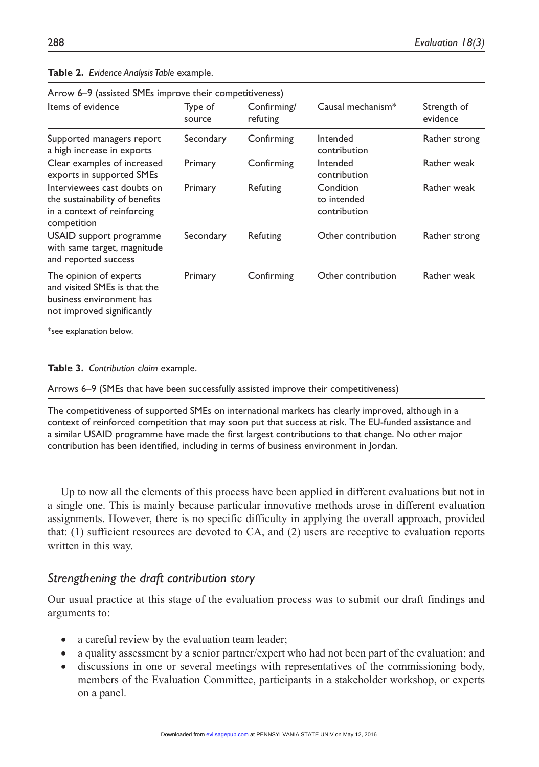|  |  |  |  | Table 2. Evidence Analysis Table example. |
|--|--|--|--|-------------------------------------------|
|--|--|--|--|-------------------------------------------|

| Arrow 6–9 (assisted SMEs improve their competitiveness)                                                          |                   |                         |                                          |                         |
|------------------------------------------------------------------------------------------------------------------|-------------------|-------------------------|------------------------------------------|-------------------------|
| Items of evidence                                                                                                | Type of<br>source | Confirming/<br>refuting | Causal mechanism <sup>*</sup>            | Strength of<br>evidence |
| Supported managers report<br>a high increase in exports                                                          | Secondary         | Confirming              | Intended<br>contribution                 | Rather strong           |
| Clear examples of increased<br>exports in supported SMEs                                                         | Primary           | Confirming              | Intended<br>contribution                 | Rather weak             |
| Interviewees cast doubts on<br>the sustainability of benefits<br>in a context of reinforcing<br>competition      | Primary           | Refuting                | Condition<br>to intended<br>contribution | Rather weak             |
| USAID support programme<br>with same target, magnitude<br>and reported success                                   | Secondary         | Refuting                | Other contribution                       | Rather strong           |
| The opinion of experts<br>and visited SMEs is that the<br>business environment has<br>not improved significantly | Primary           | Confirming              | Other contribution                       | Rather weak             |

\*see explanation below.

**Table 3.** *Contribution claim* example.

Arrows 6–9 (SMEs that have been successfully assisted improve their competitiveness)

The competitiveness of supported SMEs on international markets has clearly improved, although in a context of reinforced competition that may soon put that success at risk. The EU-funded assistance and a similar USAID programme have made the first largest contributions to that change. No other major contribution has been identified, including in terms of business environment in Jordan.

Up to now all the elements of this process have been applied in different evaluations but not in a single one. This is mainly because particular innovative methods arose in different evaluation assignments. However, there is no specific difficulty in applying the overall approach, provided that: (1) sufficient resources are devoted to CA, and (2) users are receptive to evaluation reports written in this way.

# *Strengthening the draft contribution story*

Our usual practice at this stage of the evaluation process was to submit our draft findings and arguments to:

- a careful review by the evaluation team leader;
- a quality assessment by a senior partner/expert who had not been part of the evaluation; and
- discussions in one or several meetings with representatives of the commissioning body, members of the Evaluation Committee, participants in a stakeholder workshop, or experts on a panel.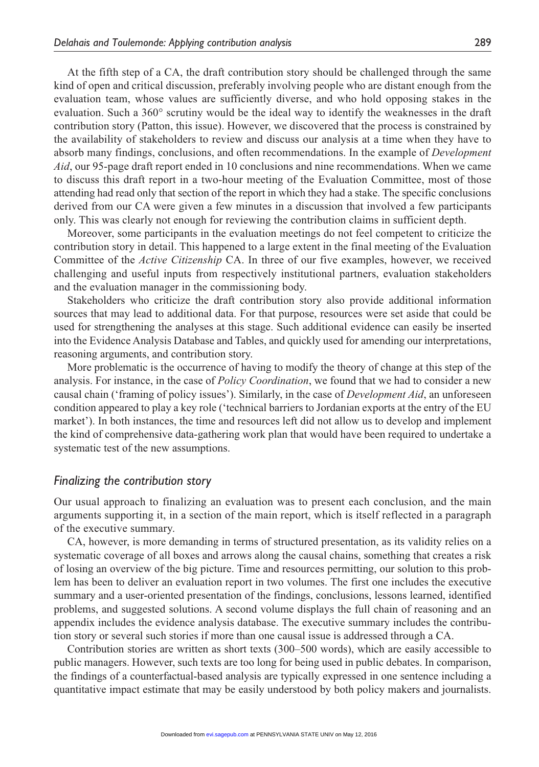At the fifth step of a CA, the draft contribution story should be challenged through the same kind of open and critical discussion, preferably involving people who are distant enough from the evaluation team, whose values are sufficiently diverse, and who hold opposing stakes in the evaluation. Such a 360° scrutiny would be the ideal way to identify the weaknesses in the draft contribution story (Patton, this issue). However, we discovered that the process is constrained by the availability of stakeholders to review and discuss our analysis at a time when they have to absorb many findings, conclusions, and often recommendations. In the example of *Development Aid*, our 95-page draft report ended in 10 conclusions and nine recommendations. When we came to discuss this draft report in a two-hour meeting of the Evaluation Committee, most of those attending had read only that section of the report in which they had a stake. The specific conclusions derived from our CA were given a few minutes in a discussion that involved a few participants only. This was clearly not enough for reviewing the contribution claims in sufficient depth.

Moreover, some participants in the evaluation meetings do not feel competent to criticize the contribution story in detail. This happened to a large extent in the final meeting of the Evaluation Committee of the *Active Citizenship* CA. In three of our five examples, however, we received challenging and useful inputs from respectively institutional partners, evaluation stakeholders and the evaluation manager in the commissioning body.

Stakeholders who criticize the draft contribution story also provide additional information sources that may lead to additional data. For that purpose, resources were set aside that could be used for strengthening the analyses at this stage. Such additional evidence can easily be inserted into the Evidence Analysis Database and Tables, and quickly used for amending our interpretations, reasoning arguments, and contribution story.

More problematic is the occurrence of having to modify the theory of change at this step of the analysis. For instance, in the case of *Policy Coordination*, we found that we had to consider a new causal chain ('framing of policy issues'). Similarly, in the case of *Development Aid*, an unforeseen condition appeared to play a key role ('technical barriers to Jordanian exports at the entry of the EU market'). In both instances, the time and resources left did not allow us to develop and implement the kind of comprehensive data-gathering work plan that would have been required to undertake a systematic test of the new assumptions.

#### *Finalizing the contribution story*

Our usual approach to finalizing an evaluation was to present each conclusion, and the main arguments supporting it, in a section of the main report, which is itself reflected in a paragraph of the executive summary.

CA, however, is more demanding in terms of structured presentation, as its validity relies on a systematic coverage of all boxes and arrows along the causal chains, something that creates a risk of losing an overview of the big picture. Time and resources permitting, our solution to this problem has been to deliver an evaluation report in two volumes. The first one includes the executive summary and a user-oriented presentation of the findings, conclusions, lessons learned, identified problems, and suggested solutions. A second volume displays the full chain of reasoning and an appendix includes the evidence analysis database. The executive summary includes the contribution story or several such stories if more than one causal issue is addressed through a CA.

Contribution stories are written as short texts (300–500 words), which are easily accessible to public managers. However, such texts are too long for being used in public debates. In comparison, the findings of a counterfactual-based analysis are typically expressed in one sentence including a quantitative impact estimate that may be easily understood by both policy makers and journalists.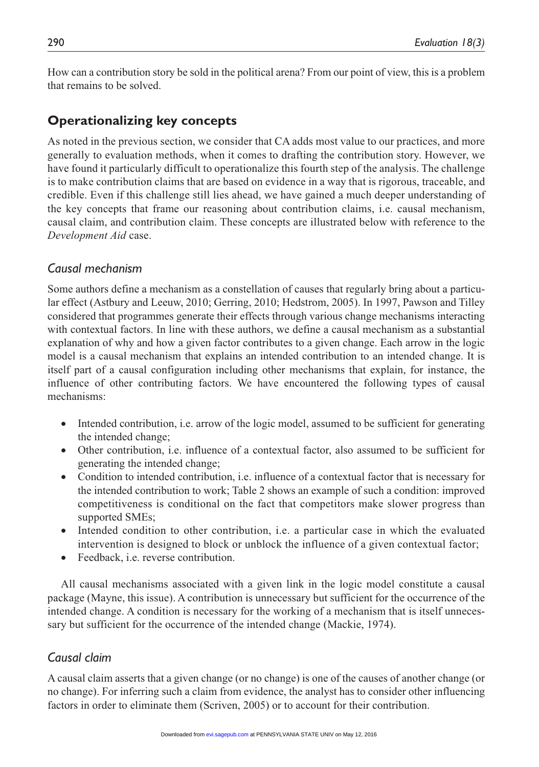How can a contribution story be sold in the political arena? From our point of view, this is a problem that remains to be solved.

# **Operationalizing key concepts**

As noted in the previous section, we consider that CA adds most value to our practices, and more generally to evaluation methods, when it comes to drafting the contribution story. However, we have found it particularly difficult to operationalize this fourth step of the analysis. The challenge is to make contribution claims that are based on evidence in a way that is rigorous, traceable, and credible. Even if this challenge still lies ahead, we have gained a much deeper understanding of the key concepts that frame our reasoning about contribution claims, i.e. causal mechanism, causal claim, and contribution claim. These concepts are illustrated below with reference to the *Development Aid* case.

# *Causal mechanism*

Some authors define a mechanism as a constellation of causes that regularly bring about a particular effect (Astbury and Leeuw, 2010; Gerring, 2010; Hedstrom, 2005). In 1997, Pawson and Tilley considered that programmes generate their effects through various change mechanisms interacting with contextual factors. In line with these authors, we define a causal mechanism as a substantial explanation of why and how a given factor contributes to a given change. Each arrow in the logic model is a causal mechanism that explains an intended contribution to an intended change. It is itself part of a causal configuration including other mechanisms that explain, for instance, the influence of other contributing factors. We have encountered the following types of causal mechanisms:

- Intended contribution, i.e. arrow of the logic model, assumed to be sufficient for generating the intended change;
- Other contribution, i.e. influence of a contextual factor, also assumed to be sufficient for generating the intended change;
- Condition to intended contribution, i.e. influence of a contextual factor that is necessary for the intended contribution to work; Table 2 shows an example of such a condition: improved competitiveness is conditional on the fact that competitors make slower progress than supported SMEs;
- Intended condition to other contribution, i.e. a particular case in which the evaluated intervention is designed to block or unblock the influence of a given contextual factor;
- Feedback, i.e. reverse contribution.

All causal mechanisms associated with a given link in the logic model constitute a causal package (Mayne, this issue). A contribution is unnecessary but sufficient for the occurrence of the intended change. A condition is necessary for the working of a mechanism that is itself unnecessary but sufficient for the occurrence of the intended change (Mackie, 1974).

# *Causal claim*

A causal claim asserts that a given change (or no change) is one of the causes of another change (or no change). For inferring such a claim from evidence, the analyst has to consider other influencing factors in order to eliminate them (Scriven, 2005) or to account for their contribution.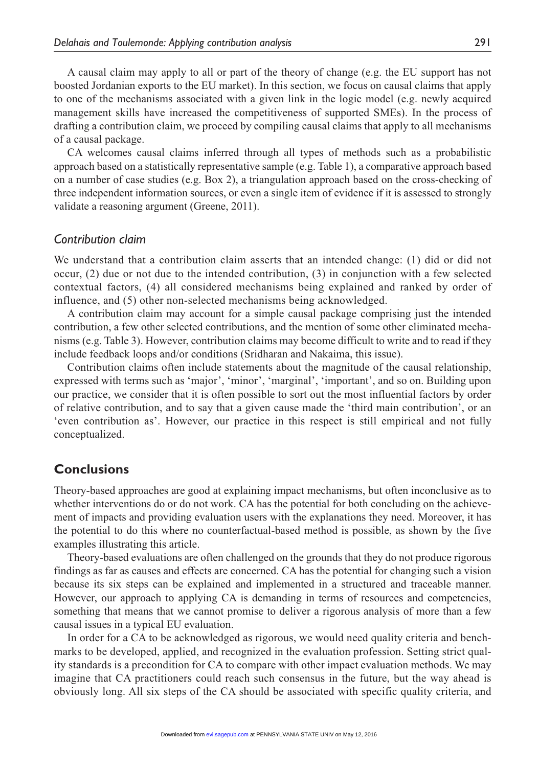A causal claim may apply to all or part of the theory of change (e.g. the EU support has not boosted Jordanian exports to the EU market). In this section, we focus on causal claims that apply to one of the mechanisms associated with a given link in the logic model (e.g. newly acquired management skills have increased the competitiveness of supported SMEs). In the process of drafting a contribution claim, we proceed by compiling causal claims that apply to all mechanisms of a causal package.

CA welcomes causal claims inferred through all types of methods such as a probabilistic approach based on a statistically representative sample (e.g. Table 1), a comparative approach based on a number of case studies (e.g. Box 2), a triangulation approach based on the cross-checking of three independent information sources, or even a single item of evidence if it is assessed to strongly validate a reasoning argument (Greene, 2011).

### *Contribution claim*

We understand that a contribution claim asserts that an intended change: (1) did or did not occur, (2) due or not due to the intended contribution, (3) in conjunction with a few selected contextual factors, (4) all considered mechanisms being explained and ranked by order of influence, and (5) other non-selected mechanisms being acknowledged.

A contribution claim may account for a simple causal package comprising just the intended contribution, a few other selected contributions, and the mention of some other eliminated mechanisms (e.g. Table 3). However, contribution claims may become difficult to write and to read if they include feedback loops and/or conditions (Sridharan and Nakaima, this issue).

Contribution claims often include statements about the magnitude of the causal relationship, expressed with terms such as 'major', 'minor', 'marginal', 'important', and so on. Building upon our practice, we consider that it is often possible to sort out the most influential factors by order of relative contribution, and to say that a given cause made the 'third main contribution', or an 'even contribution as'. However, our practice in this respect is still empirical and not fully conceptualized.

# **Conclusions**

Theory-based approaches are good at explaining impact mechanisms, but often inconclusive as to whether interventions do or do not work. CA has the potential for both concluding on the achievement of impacts and providing evaluation users with the explanations they need. Moreover, it has the potential to do this where no counterfactual-based method is possible, as shown by the five examples illustrating this article.

Theory-based evaluations are often challenged on the grounds that they do not produce rigorous findings as far as causes and effects are concerned. CA has the potential for changing such a vision because its six steps can be explained and implemented in a structured and traceable manner. However, our approach to applying CA is demanding in terms of resources and competencies, something that means that we cannot promise to deliver a rigorous analysis of more than a few causal issues in a typical EU evaluation.

In order for a CA to be acknowledged as rigorous, we would need quality criteria and benchmarks to be developed, applied, and recognized in the evaluation profession. Setting strict quality standards is a precondition for CA to compare with other impact evaluation methods. We may imagine that CA practitioners could reach such consensus in the future, but the way ahead is obviously long. All six steps of the CA should be associated with specific quality criteria, and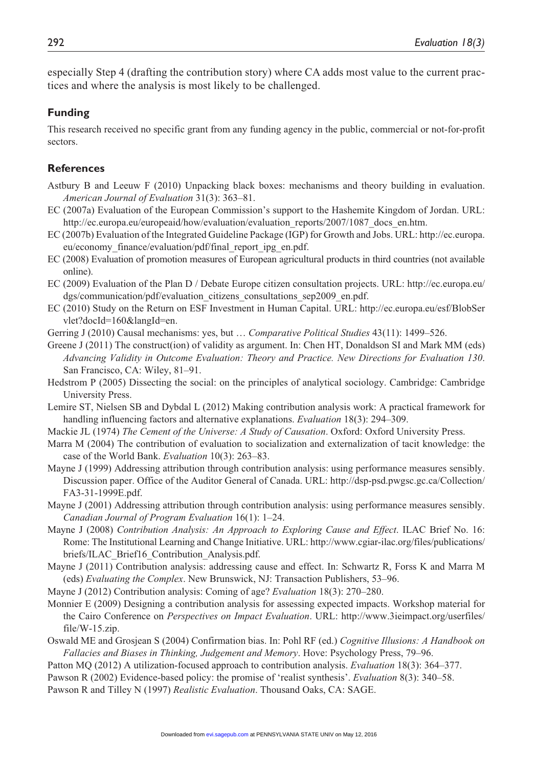especially Step 4 (drafting the contribution story) where CA adds most value to the current practices and where the analysis is most likely to be challenged.

### **Funding**

This research received no specific grant from any funding agency in the public, commercial or not-for-profit sectors.

### **References**

- Astbury B and Leeuw F (2010) Unpacking black boxes: mechanisms and theory building in evaluation. *American Journal of Evaluation* 31(3): 363–81.
- EC (2007a) Evaluation of the European Commission's support to the Hashemite Kingdom of Jordan. URL: http://ec.europa.eu/europeaid/how/evaluation/evaluation\_reports/2007/1087\_docs\_en.htm.
- EC (2007b) Evaluation of the Integrated Guideline Package (IGP) for Growth and Jobs. URL: http://ec.europa. eu/economy finance/evaluation/pdf/final report ipg en.pdf.
- EC (2008) Evaluation of promotion measures of European agricultural products in third countries (not available online).
- EC (2009) Evaluation of the Plan D / Debate Europe citizen consultation projects. URL: http://ec.europa.eu/ dgs/communication/pdf/evaluation\_citizens\_consultations\_sep2009\_en.pdf.
- EC (2010) Study on the Return on ESF Investment in Human Capital. URL: http://ec.europa.eu/esf/BlobSer vlet?docId=160&langId=en.
- Gerring J (2010) Causal mechanisms: yes, but … *Comparative Political Studies* 43(11): 1499–526.
- Greene J (2011) The construct(ion) of validity as argument. In: Chen HT, Donaldson SI and Mark MM (eds) *Advancing Validity in Outcome Evaluation: Theory and Practice. New Directions for Evaluation 130*. San Francisco, CA: Wiley, 81–91.
- Hedstrom P (2005) Dissecting the social: on the principles of analytical sociology. Cambridge: Cambridge University Press.
- Lemire ST, Nielsen SB and Dybdal L (2012) Making contribution analysis work: A practical framework for handling influencing factors and alternative explanations. *Evaluation* 18(3): 294–309.
- Mackie JL (1974) *The Cement of the Universe: A Study of Causation*. Oxford: Oxford University Press.
- Marra M (2004) The contribution of evaluation to socialization and externalization of tacit knowledge: the case of the World Bank. *Evaluation* 10(3): 263–83.
- Mayne J (1999) Addressing attribution through contribution analysis: using performance measures sensibly. Discussion paper. Office of the Auditor General of Canada. URL: http://dsp-psd.pwgsc.gc.ca/Collection/ FA3-31-1999E.pdf.
- Mayne J (2001) Addressing attribution through contribution analysis: using performance measures sensibly. *Canadian Journal of Program Evaluation* 16(1): 1–24.
- Mayne J (2008) *Contribution Analysis: An Approach to Exploring Cause and Effect*. ILAC Brief No. 16: Rome: The Institutional Learning and Change Initiative. URL: http://www.cgiar-ilac.org/files/publications/ briefs/ILAC\_Brief16\_Contribution\_Analysis.pdf.
- Mayne J (2011) Contribution analysis: addressing cause and effect. In: Schwartz R, Forss K and Marra M (eds) *Evaluating the Complex*. New Brunswick, NJ: Transaction Publishers, 53–96.
- Mayne J (2012) Contribution analysis: Coming of age? *Evaluation* 18(3): 270–280.
- Monnier E (2009) Designing a contribution analysis for assessing expected impacts. Workshop material for the Cairo Conference on *Perspectives on Impact Evaluation*. URL: http://www.3ieimpact.org/userfiles/ file/W-15.zip.
- Oswald ME and Grosjean S (2004) Confirmation bias. In: Pohl RF (ed.) *Cognitive Illusions: A Handbook on Fallacies and Biases in Thinking, Judgement and Memory*. Hove: Psychology Press, 79–96.
- Patton MQ (2012) A utilization-focused approach to contribution analysis. *Evaluation* 18(3): 364–377.
- Pawson R (2002) Evidence-based policy: the promise of 'realist synthesis'. *Evaluation* 8(3): 340–58.
- Pawson R and Tilley N (1997) *Realistic Evaluation*. Thousand Oaks, CA: SAGE.